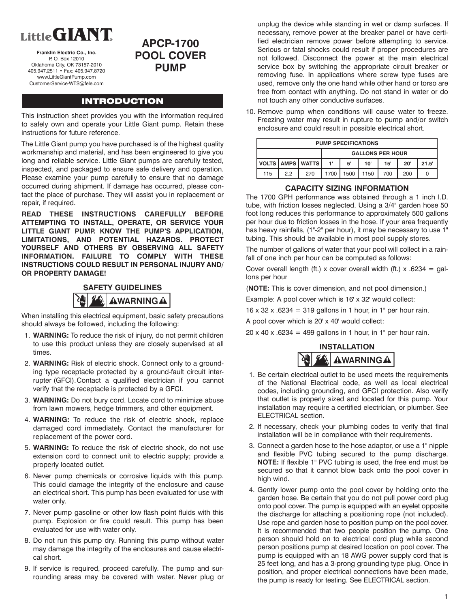# Little GIANT

**Franklin Electric Co., Inc.** P. O. Box 12010 Oklahoma City, OK 73157-2010 405.947.2511 • Fax: 405.947.8720 www.LittleGiantPump.com CustomerService-WTS@fele.com

# **APCP-1700 POOL COVER PUMP**

## **INTRODUCTION**

This instruction sheet provides you with the information required to safely own and operate your Little Giant pump. Retain these instructions for future reference.

The Little Giant pump you have purchased is of the highest quality workmanship and material, and has been engineered to give you long and reliable service. Little Giant pumps are carefully tested, inspected, and packaged to ensure safe delivery and operation. Please examine your pump carefully to ensure that no damage occurred during shipment. If damage has occurred, please contact the place of purchase. They will assist you in replacement or repair, if required.

**READ THESE INSTRUCTIONS CAREFULLY BEFORE ATTEMPTING TO INSTALL, OPERATE, OR SERVICE YOUR LITTLE GIANT PUMP. KNOW THE PUMP'S APPLICATION, LIMITATIONS, AND POTENTIAL HAZARDS. PROTECT YOURSELF AND OTHERS BY OBSERVING ALL SAFETY INFORMATION. FAILURE TO COMPLY WITH THESE INSTRUCTIONS COULD RESULT IN PERSONAL INJURY AND/ OR PROPERTY DAMAGE!** 



When installing this electrical equipment, basic safety precautions should always be followed, including the following:

- 1. **WARNING:** To reduce the risk of injury, do not permit children to use this product unless they are closely supervised at all times.
- 2. **WARNING:** Risk of electric shock. Connect only to a grounding type receptacle protected by a ground-fault circuit interrupter (GFCI). Contact a qualified electrician if you cannot verify that the receptacle is protected by a GFCI.
- 3. **WARNING:** Do not bury cord. Locate cord to minimize abuse from lawn mowers, hedge trimmers, and other equipment.
- 4. **WARNING:** To reduce the risk of electric shock, replace damaged cord immediately. Contact the manufacturer for replacement of the power cord.
- 5. **WARNING:** To reduce the risk of electric shock, do not use extension cord to connect unit to electric supply; provide a properly located outlet.
- 6. Never pump chemicals or corrosive liquids with this pump. This could damage the integrity of the enclosure and cause an electrical short. This pump has been evaluated for use with water only.
- 7. Never pump gasoline or other low flash point fluids with this pump. Explosion or fire could result. This pump has been evaluated for use with water only.
- 8. Do not run this pump dry. Running this pump without water may damage the integrity of the enclosures and cause electrical short.
- 9. If service is required, proceed carefully. The pump and surrounding areas may be covered with water. Never plug or

unplug the device while standing in wet or damp surfaces. If necessary, remove power at the breaker panel or have certified electrician remove power before attempting to service. Serious or fatal shocks could result if proper procedures are not followed. Disconnect the power at the main electrical service box by switching the appropriate circuit breaker or removing fuse. In applications where screw type fuses are used, remove only the one hand while other hand or torso are free from contact with anything. Do not stand in water or do not touch any other conductive surfaces.

10. Remove pump when conditions will cause water to freeze. Freezing water may result in rupture to pump and/or switch enclosure and could result in possible electrical short.

| <b>PUMP SPECIFICATIONS</b> |    |                      |                         |      |      |     |     |       |  |
|----------------------------|----|----------------------|-------------------------|------|------|-----|-----|-------|--|
|                            |    |                      | <b>GALLONS PER HOUR</b> |      |      |     |     |       |  |
|                            |    | VOLTS   AMPS   WATTS | 1'                      | 5'   | 10'  | 15' | 20' | 21.5' |  |
| 115                        | 22 | 270                  | 1700                    | 1500 | 1150 | 700 | 200 |       |  |

### **CAPACITY SIZING INFORMATION**

The 1700 GPH performance was obtained through a 1 inch I.D. tube, with friction losses neglected. Using a 3/4" garden hose 50 foot long reduces this performance to approximately 500 gallons per hour due to friction losses in the hose. If your area frequently has heavy rainfalls, (1"-2" per hour), it may be necessary to use 1" tubing. This should be available in most pool supply stores.

The number of gallons of water that your pool will collect in a rainfall of one inch per hour can be computed as follows:

Cover overall length (ft.) x cover overall width (ft.) x .6234 = gallons per hour

(**NOTE:** This is cover dimension, and not pool dimension.)

Example: A pool cover which is 16' x 32' would collect:

 $16 \times 32 \times 0.6234 = 319$  gallons in 1 hour, in 1" per hour rain.

A pool cover which is 20' x 40' would collect:

 $20 \times 40 \times 6234 = 499$  gallons in 1 hour, in 1" per hour rain.



- 1. Be certain electrical outlet to be used meets the requirements of the National Electrical code, as well as local electrical codes, including grounding, and GFCI protection. Also verify that outlet is properly sized and located for this pump. Your installation may require a certified electrician, or plumber. See ELECTRICAL section.
- 2. If necessary, check your plumbing codes to verify that final installation will be in compliance with their requirements.
- 3. Connect a garden hose to the hose adaptor, or use a 1" nipple and flexible PVC tubing secured to the pump discharge. **NOTE:** If flexible 1" PVC tubing is used, the free end must be secured so that it cannot blow back onto the pool cover in high wind.
- 4. Gently lower pump onto the pool cover by holding onto the garden hose. Be certain that you do not pull power cord plug onto pool cover. The pump is equipped with an eyelet opposite the discharge for attaching a positioning rope (not included). Use rope and garden hose to position pump on the pool cover. It is recommended that two people position the pump. One person should hold on to electrical cord plug while second person positions pump at desired location on pool cover. The pump is equipped with an 18 AWG power supply cord that is 25 feet long, and has a 3-prong grounding type plug. Once in position, and proper electrical connections have been made, the pump is ready for testing. See ELECTRICAL section.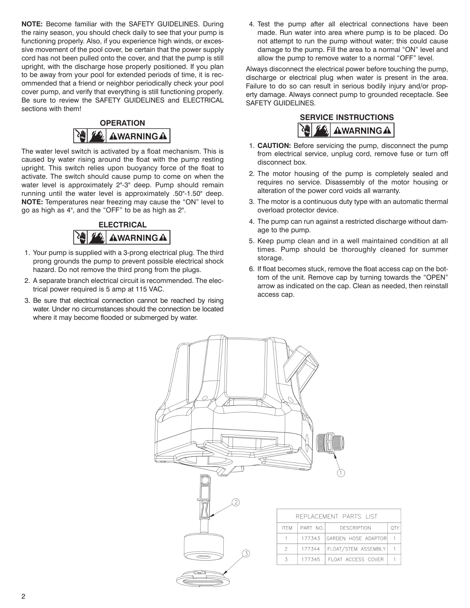**NOTE:** Become familiar with the SAFETY GUIDELINES. During the rainy season, you should check daily to see that your pump is functioning properly. Also, if you experience high winds, or excessive movement of the pool cover, be certain that the power supply cord has not been pulled onto the cover, and that the pump is still upright, with the discharge hose properly positioned. If you plan to be away from your pool for extended periods of time, it is recommended that a friend or neighbor periodically check your pool cover pump, and verify that everything is still functioning properly. Be sure to review the SAFETY GUIDELINES and ELECTRICAL sections with them!



The water level switch is activated by a float mechanism. This is caused by water rising around the float with the pump resting upright. This switch relies upon buoyancy force of the float to activate. The switch should cause pump to come on when the water level is approximately 2"-3" deep. Pump should remain running until the water level is approximately .50"-1.50" deep. **NOTE:** Temperatures near freezing may cause the "ON" level to go as high as 4", and the "OFF" to be as high as 2".



- 1. Your pump is supplied with a 3-prong electrical plug. The third prong grounds the pump to prevent possible electrical shock hazard. Do not remove the third prong from the plugs.
- 2. A separate branch electrical circuit is recommended. The electrical power required is 5 amp at 115 VAC.
- 3. Be sure that electrical connection cannot be reached by rising water. Under no circumstances should the connection be located where it may become flooded or submerged by water.

 4. Test the pump after all electrical connections have been made. Run water into area where pump is to be placed. Do not attempt to run the pump without water; this could cause damage to the pump. Fill the area to a normal "ON" level and allow the pump to remove water to a normal "OFF" level.

Always disconnect the electrical power before touching the pump, discharge or electrical plug when water is present in the area. Failure to do so can result in serious bodily injury and/or property damage. Always connect pump to grounded receptacle. See SAFETY GUIDELINES.



- 1. **CAUTION:** Before servicing the pump, disconnect the pump from electrical service, unplug cord, remove fuse or turn off disconnect box.
- 2. The motor housing of the pump is completely sealed and requires no service. Disassembly of the motor housing or alteration of the power cord voids all warranty.
- 3. The motor is a continuous duty type with an automatic thermal overload protector device.
- 4. The pump can run against a restricted discharge without damage to the pump.
- 5. Keep pump clean and in a well maintained condition at all times. Pump should be thoroughly cleaned for summer storage.
- 6. If float becomes stuck, remove the float access cap on the bottom of the unit. Remove cap by turning towards the "OPEN" arrow as indicated on the cap. Clean as needed, then reinstall access cap.

QTY

 $\overline{1}$ 

 $\mathbf{1}$ 

 $\mathbf{1}$ 

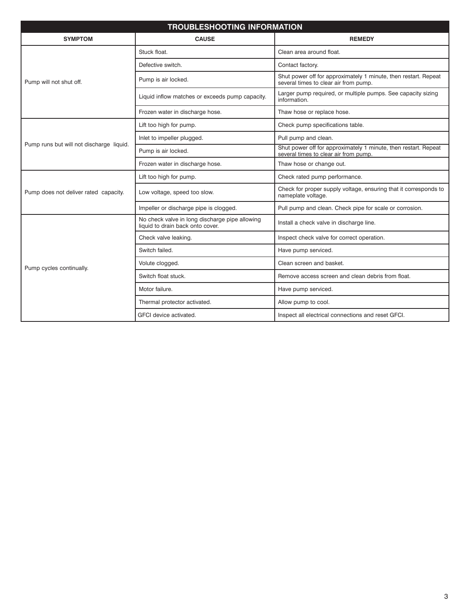| <b>TROUBLESHOOTING INFORMATION</b>       |                                                                                    |                                                                                                          |  |  |  |  |  |  |
|------------------------------------------|------------------------------------------------------------------------------------|----------------------------------------------------------------------------------------------------------|--|--|--|--|--|--|
| <b>SYMPTOM</b>                           | <b>CAUSE</b>                                                                       | <b>REMEDY</b>                                                                                            |  |  |  |  |  |  |
|                                          | Stuck float.                                                                       | Clean area around float.                                                                                 |  |  |  |  |  |  |
|                                          | Defective switch.                                                                  | Contact factory.                                                                                         |  |  |  |  |  |  |
| Pump will not shut off.                  | Pump is air locked.                                                                | Shut power off for approximately 1 minute, then restart. Repeat<br>several times to clear air from pump. |  |  |  |  |  |  |
|                                          | Liquid inflow matches or exceeds pump capacity.                                    | Larger pump required, or multiple pumps. See capacity sizing<br>information.                             |  |  |  |  |  |  |
|                                          | Frozen water in discharge hose.                                                    | Thaw hose or replace hose.                                                                               |  |  |  |  |  |  |
|                                          | Lift too high for pump.                                                            | Check pump specifications table.                                                                         |  |  |  |  |  |  |
|                                          | Inlet to impeller plugged.                                                         | Pull pump and clean.                                                                                     |  |  |  |  |  |  |
| Pump runs but will not discharge liquid. | Pump is air locked.                                                                | Shut power off for approximately 1 minute, then restart. Repeat<br>several times to clear air from pump. |  |  |  |  |  |  |
|                                          | Frozen water in discharge hose.                                                    | Thaw hose or change out.                                                                                 |  |  |  |  |  |  |
|                                          | Lift too high for pump.                                                            | Check rated pump performance.                                                                            |  |  |  |  |  |  |
| Pump does not deliver rated capacity.    | Low voltage, speed too slow.                                                       | Check for proper supply voltage, ensuring that it corresponds to<br>nameplate voltage.                   |  |  |  |  |  |  |
|                                          | Impeller or discharge pipe is clogged.                                             | Pull pump and clean. Check pipe for scale or corrosion.                                                  |  |  |  |  |  |  |
|                                          | No check valve in long discharge pipe allowing<br>liquid to drain back onto cover. | Install a check valve in discharge line.                                                                 |  |  |  |  |  |  |
|                                          | Check valve leaking.                                                               | Inspect check valve for correct operation.                                                               |  |  |  |  |  |  |
|                                          | Switch failed.                                                                     | Have pump serviced.                                                                                      |  |  |  |  |  |  |
| Pump cycles continually.                 | Volute clogged.                                                                    | Clean screen and basket.                                                                                 |  |  |  |  |  |  |
|                                          | Switch float stuck.                                                                | Remove access screen and clean debris from float.                                                        |  |  |  |  |  |  |
|                                          | Motor failure.                                                                     | Have pump serviced.                                                                                      |  |  |  |  |  |  |
|                                          | Thermal protector activated.                                                       | Allow pump to cool.                                                                                      |  |  |  |  |  |  |
|                                          | GFCI device activated.                                                             | Inspect all electrical connections and reset GFCI.                                                       |  |  |  |  |  |  |